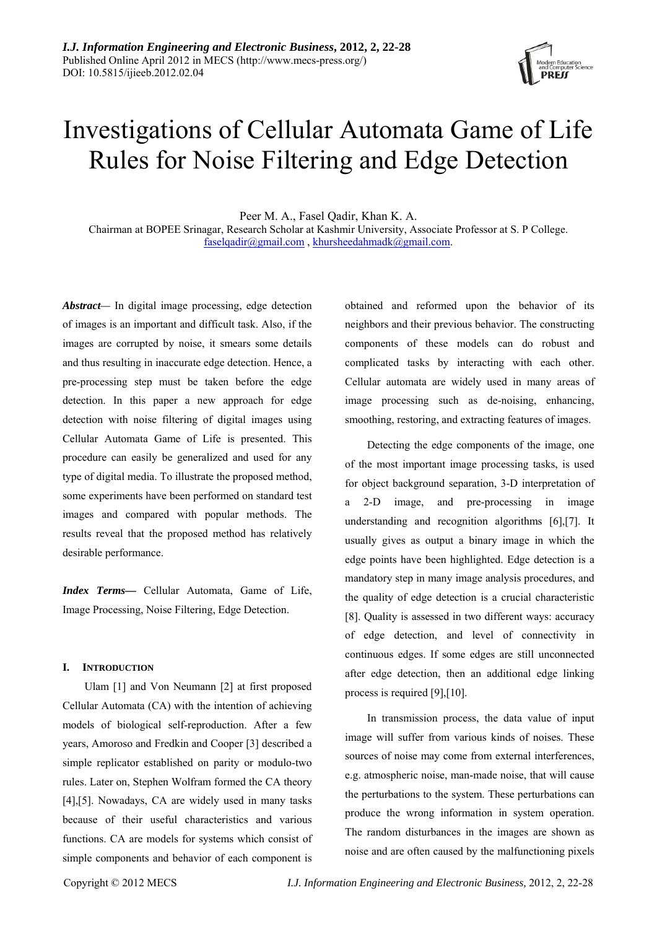

# Investigations of Cellular Automata Game of Life Rules for Noise Filtering and Edge Detection

Peer M. A., Fasel Qadir, Khan K. A. Chairman at BOPEE Srinagar, Research Scholar at Kashmir University, Associate Professor at S. P College. faselqadir@gmail.com , khursheedahmadk@gmail.com.

*Abstract—* In digital image processing, edge detection of images is an important and difficult task. Also, if the images are corrupted by noise, it smears some details and thus resulting in inaccurate edge detection. Hence, a pre-processing step must be taken before the edge detection. In this paper a new approach for edge detection with noise filtering of digital images using Cellular Automata Game of Life is presented. This procedure can easily be generalized and used for any type of digital media. To illustrate the proposed method, some experiments have been performed on standard test images and compared with popular methods. The results reveal that the proposed method has relatively desirable performance.

*Index Terms***—** Cellular Automata, Game of Life, Image Processing, Noise Filtering, Edge Detection.

### **I. INTRODUCTION**

Ulam [1] and Von Neumann [2] at first proposed Cellular Automata (CA) with the intention of achieving models of biological self-reproduction. After a few years, Amoroso and Fredkin and Cooper [3] described a simple replicator established on parity or modulo-two rules. Later on, Stephen Wolfram formed the CA theory [4],[5]. Nowadays, CA are widely used in many tasks because of their useful characteristics and various functions. CA are models for systems which consist of simple components and behavior of each component is

obtained and reformed upon the behavior of its neighbors and their previous behavior. The constructing components of these models can do robust and complicated tasks by interacting with each other. Cellular automata are widely used in many areas of image processing such as de-noising, enhancing, smoothing, restoring, and extracting features of images.

Detecting the edge components of the image, one of the most important image processing tasks, is used for object background separation, 3-D interpretation of a 2-D image, and pre-processing in image understanding and recognition algorithms [6],[7]. It usually gives as output a binary image in which the edge points have been highlighted. Edge detection is a mandatory step in many image analysis procedures, and the quality of edge detection is a crucial characteristic [8]. Quality is assessed in two different ways: accuracy of edge detection, and level of connectivity in continuous edges. If some edges are still unconnected after edge detection, then an additional edge linking process is required [9],[10].

In transmission process, the data value of input image will suffer from various kinds of noises. These sources of noise may come from external interferences, e.g. atmospheric noise, man-made noise, that will cause the perturbations to the system. These perturbations can produce the wrong information in system operation. The random disturbances in the images are shown as noise and are often caused by the malfunctioning pixels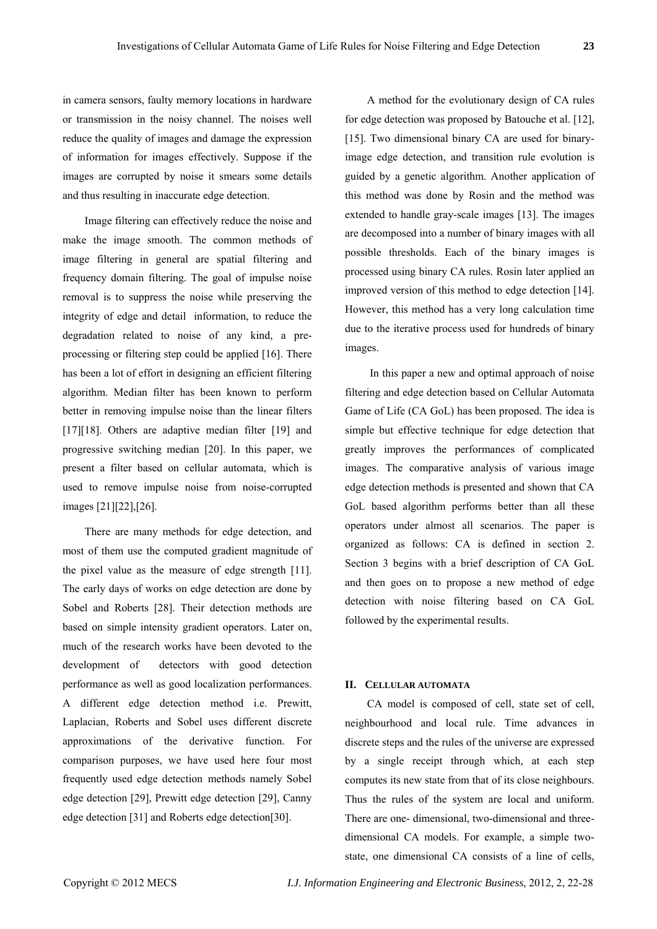in camera sensors, faulty memory locations in hardware or transmission in the noisy channel. The noises well reduce the quality of images and damage the expression of information for images effectively. Suppose if the images are corrupted by noise it smears some details and thus resulting in inaccurate edge detection.

Image filtering can effectively reduce the noise and make the image smooth. The common methods of image filtering in general are spatial filtering and frequency domain filtering. The goal of impulse noise removal is to suppress the noise while preserving the integrity of edge and detail information, to reduce the degradation related to noise of any kind, a preprocessing or filtering step could be applied [16]. There has been a lot of effort in designing an efficient filtering algorithm. Median filter has been known to perform better in removing impulse noise than the linear filters [17][18]. Others are adaptive median filter [19] and progressive switching median [20]. In this paper, we present a filter based on cellular automata, which is used to remove impulse noise from noise-corrupted images [21][22],[26].

There are many methods for edge detection, and most of them use the computed gradient magnitude of the pixel value as the measure of edge strength [11]. The early days of works on edge detection are done by Sobel and Roberts [28]. Their detection methods are based on simple intensity gradient operators. Later on, much of the research works have been devoted to the development of detectors with good detection performance as well as good localization performances. A different edge detection method i.e. Prewitt, Laplacian, Roberts and Sobel uses different discrete approximations of the derivative function. For comparison purposes, we have used here four most frequently used edge detection methods namely Sobel edge detection [29], Prewitt edge detection [29], Canny edge detection [31] and Roberts edge detection[30].

A method for the evolutionary design of CA rules for edge detection was proposed by Batouche et al. [12], [15]. Two dimensional binary CA are used for binaryimage edge detection, and transition rule evolution is guided by a genetic algorithm. Another application of this method was done by Rosin and the method was extended to handle gray-scale images [13]. The images are decomposed into a number of binary images with all possible thresholds. Each of the binary images is processed using binary CA rules. Rosin later applied an improved version of this method to edge detection [14]. However, this method has a very long calculation time due to the iterative process used for hundreds of binary images.

 In this paper a new and optimal approach of noise filtering and edge detection based on Cellular Automata Game of Life (CA GoL) has been proposed. The idea is simple but effective technique for edge detection that greatly improves the performances of complicated images. The comparative analysis of various image edge detection methods is presented and shown that CA GoL based algorithm performs better than all these operators under almost all scenarios. The paper is organized as follows: CA is defined in section 2. Section 3 begins with a brief description of CA GoL and then goes on to propose a new method of edge detection with noise filtering based on CA GoL followed by the experimental results.

## **II. CELLULAR AUTOMATA**

CA model is composed of cell, state set of cell, neighbourhood and local rule. Time advances in discrete steps and the rules of the universe are expressed by a single receipt through which, at each step computes its new state from that of its close neighbours. Thus the rules of the system are local and uniform. There are one- dimensional, two-dimensional and threedimensional CA models. For example, a simple twostate, one dimensional CA consists of a line of cells,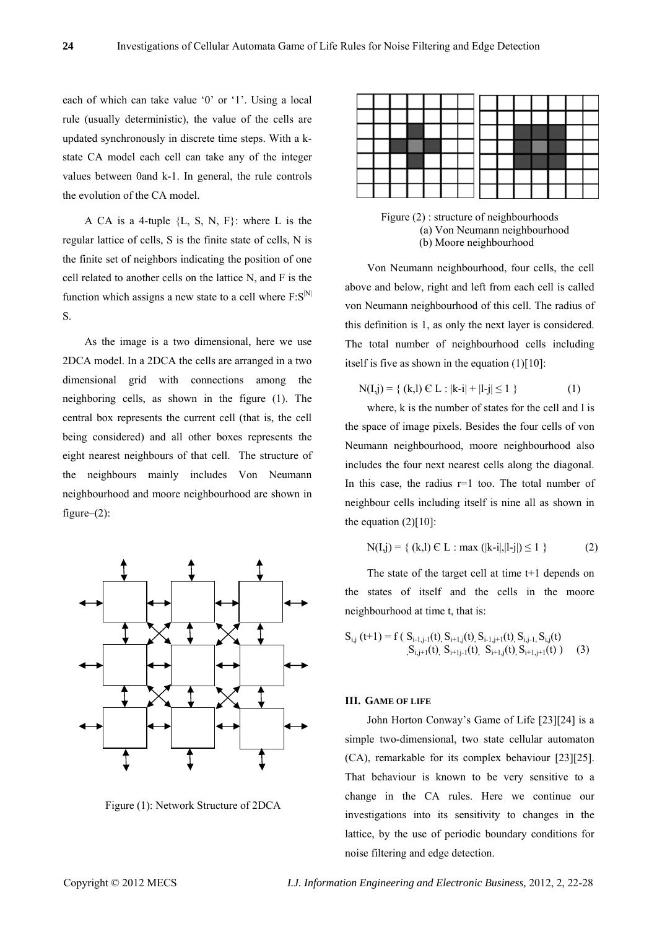each of which can take value '0' or '1'. Using a local rule (usually deterministic), the value of the cells are updated synchronously in discrete time steps. With a kstate CA model each cell can take any of the integer values between 0and k-1. In general, the rule controls the evolution of the CA model.

A CA is a 4-tuple {L, S, N, F}: where L is the regular lattice of cells, S is the finite state of cells, N is the finite set of neighbors indicating the position of one cell related to another cells on the lattice N, and F is the function which assigns a new state to a cell where  $F: S^{|N|}$ S.

As the image is a two dimensional, here we use 2DCA model. In a 2DCA the cells are arranged in a two dimensional grid with connections among the neighboring cells, as shown in the figure (1). The central box represents the current cell (that is, the cell being considered) and all other boxes represents the eight nearest neighbours of that cell. The structure of the neighbours mainly includes Von Neumann neighbourhood and moore neighbourhood are shown in figure–(2):



Figure (1): Network Structure of 2DCA

Figure (2) : structure of neighbourhoods (a) Von Neumann neighbourhood (b) Moore neighbourhood

Von Neumann neighbourhood, four cells, the cell above and below, right and left from each cell is called von Neumann neighbourhood of this cell. The radius of this definition is 1, as only the next layer is considered. The total number of neighbourhood cells including itself is five as shown in the equation  $(1)[10]$ :

$$
N(I,j) = \{ (k,l) \in L : |k-i| + |l-j| \le 1 \}
$$
 (1)

where, k is the number of states for the cell and l is the space of image pixels. Besides the four cells of von Neumann neighbourhood, moore neighbourhood also includes the four next nearest cells along the diagonal. In this case, the radius r=1 too. The total number of neighbour cells including itself is nine all as shown in the equation  $(2)$ [10]:

$$
N(I,j) = \{ (k,l) \in L : \max (|k-i|, |l-j|) \le 1 \}
$$
 (2)

The state of the target cell at time t+1 depends on the states of itself and the cells in the moore neighbourhood at time t, that is:

Si,j (t+1) = f ( Si-1,j-1(t), Si+1,j(t), Si-1,j+1(t), Si,j-1, Si,j(t) ,Si,j+1(t), Si+1j-1(t), Si+1,j(t), Si+1,j+1(t) ) (3)

#### **III. GAME OF LIFE**

John Horton Conway's Game of Life [23][24] is a simple two-dimensional, two state cellular automaton (CA), remarkable for its complex behaviour [23][25]. That behaviour is known to be very sensitive to a change in the CA rules. Here we continue our investigations into its sensitivity to changes in the lattice, by the use of periodic boundary conditions for noise filtering and edge detection.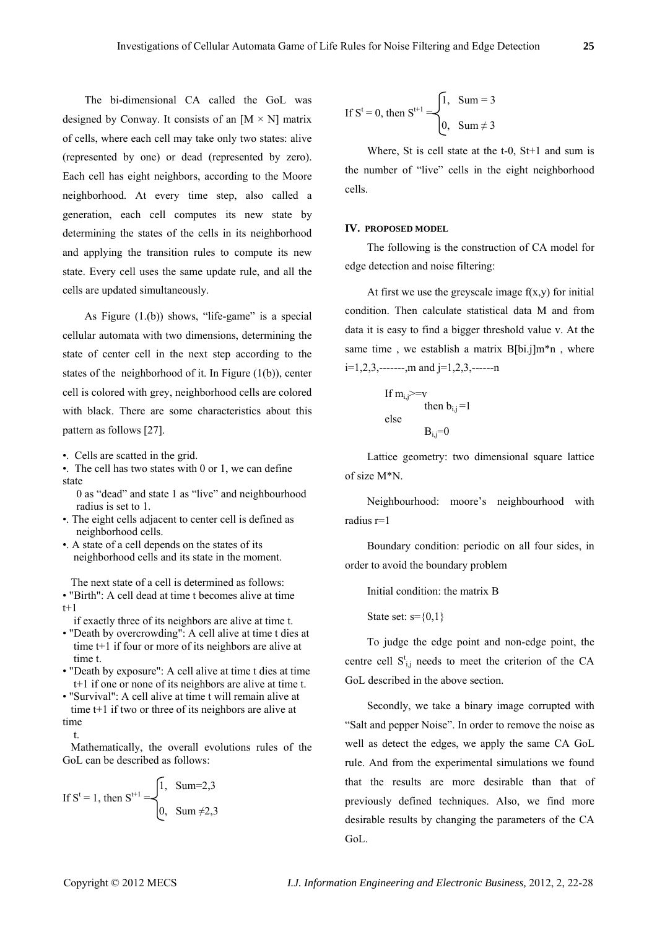The bi-dimensional CA called the GoL was designed by Conway. It consists of an  $[M \times N]$  matrix of cells, where each cell may take only two states: alive (represented by one) or dead (represented by zero). Each cell has eight neighbors, according to the Moore neighborhood. At every time step, also called a generation, each cell computes its new state by determining the states of the cells in its neighborhood and applying the transition rules to compute its new state. Every cell uses the same update rule, and all the cells are updated simultaneously.

As Figure  $(1.6)$ ) shows, "life-game" is a special cellular automata with two dimensions, determining the state of center cell in the next step according to the states of the neighborhood of it. In Figure (1(b)), center cell is colored with grey, neighborhood cells are colored with black. There are some characteristics about this pattern as follows [27].

- •. Cells are scatted in the grid.
- •. The cell has two states with 0 or 1, we can define state
	- 0 as "dead" and state 1 as "live" and neighbourhood radius is set to 1.
- •. The eight cells adjacent to center cell is defined as neighborhood cells.
- •. A state of a cell depends on the states of its neighborhood cells and its state in the moment.

 The next state of a cell is determined as follows: • "Birth": A cell dead at time t becomes alive at time  $t+1$ 

if exactly three of its neighbors are alive at time t.

- "Death by overcrowding": A cell alive at time t dies at time t+1 if four or more of its neighbors are alive at time t.
- "Death by exposure": A cell alive at time t dies at time t+1 if one or none of its neighbors are alive at time t.
- "Survival": A cell alive at time t will remain alive at time t+1 if two or three of its neighbors are alive at time

t.

 Mathematically, the overall evolutions rules of the GoL can be described as follows:

If S<sup>t</sup> = 1, then S<sup>t+1</sup> = 
$$
\begin{cases} 1, & \text{Sum=2,3} \\ 0, & \text{Sum} \neq 2,3 \end{cases}
$$

If 
$$
S^t = 0
$$
, then  $S^{t+1} = \begin{cases} 1, & \text{Sum } = 3 \\ 0, & \text{Sum } \neq 3 \end{cases}$ 

Where, St is cell state at the t-0, St+1 and sum is the number of "live" cells in the eight neighborhood cells.

#### **IV. PROPOSED MODEL**

The following is the construction of CA model for edge detection and noise filtering:

At first we use the greyscale image  $f(x,y)$  for initial condition. Then calculate statistical data M and from data it is easy to find a bigger threshold value v. At the same time, we establish a matrix  $B[bi.]m*n$ , where  $i=1,2,3,$ -------,m and  $i=1,2,3,$ ------n

If 
$$
m_{i,j}
$$
>=v  
then  $b_{i,j}$ =1  
else  
 $B_{i,j}$ =0

Lattice geometry: two dimensional square lattice of size M\*N.

Neighbourhood: moore's neighbourhood with radius r=1

Boundary condition: periodic on all four sides, in order to avoid the boundary problem

Initial condition: the matrix B

State set:  $s = \{0,1\}$ 

To judge the edge point and non-edge point, the centre cell  $S_{i,j}^t$  needs to meet the criterion of the CA GoL described in the above section.

Secondly, we take a binary image corrupted with "Salt and pepper Noise". In order to remove the noise as well as detect the edges, we apply the same CA GoL rule. And from the experimental simulations we found that the results are more desirable than that of previously defined techniques. Also, we find more desirable results by changing the parameters of the CA GoL.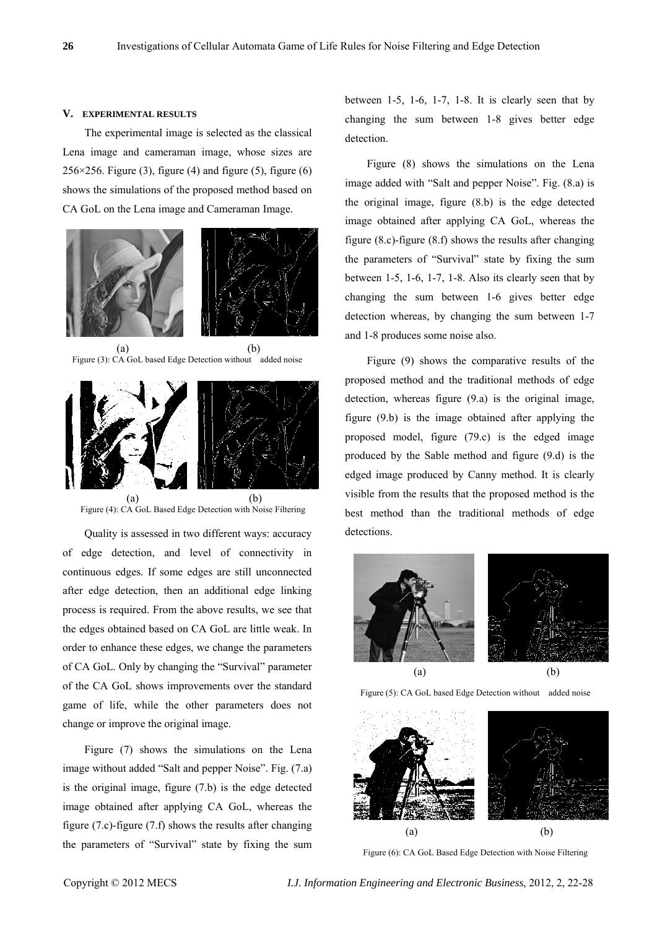#### **V. EXPERIMENTAL RESULTS**

The experimental image is selected as the classical Lena image and cameraman image, whose sizes are  $256 \times 256$ . Figure (3), figure (4) and figure (5), figure (6) shows the simulations of the proposed method based on CA GoL on the Lena image and Cameraman Image.





Figure (4): CA GoL Based Edge Detection with Noise Filtering

Quality is assessed in two different ways: accuracy of edge detection, and level of connectivity in continuous edges. If some edges are still unconnected after edge detection, then an additional edge linking process is required. From the above results, we see that the edges obtained based on CA GoL are little weak. In order to enhance these edges, we change the parameters of CA GoL. Only by changing the "Survival" parameter of the CA GoL shows improvements over the standard game of life, while the other parameters does not change or improve the original image.

Figure (7) shows the simulations on the Lena image without added "Salt and pepper Noise". Fig. (7.a) is the original image, figure (7.b) is the edge detected image obtained after applying CA GoL, whereas the figure (7.c)-figure (7.f) shows the results after changing the parameters of "Survival" state by fixing the sum between 1-5, 1-6, 1-7, 1-8. It is clearly seen that by changing the sum between 1-8 gives better edge detection.

Figure (8) shows the simulations on the Lena image added with "Salt and pepper Noise". Fig. (8.a) is the original image, figure (8.b) is the edge detected image obtained after applying CA GoL, whereas the figure (8.c)-figure (8.f) shows the results after changing the parameters of "Survival" state by fixing the sum between 1-5, 1-6, 1-7, 1-8. Also its clearly seen that by changing the sum between 1-6 gives better edge detection whereas, by changing the sum between 1-7 and 1-8 produces some noise also.

Figure (9) shows the comparative results of the proposed method and the traditional methods of edge detection, whereas figure (9.a) is the original image, figure (9.b) is the image obtained after applying the proposed model, figure (79.c) is the edged image produced by the Sable method and figure (9.d) is the edged image produced by Canny method. It is clearly visible from the results that the proposed method is the best method than the traditional methods of edge detections.



Figure (5): CA GoL based Edge Detection without added noise



Figure (6): CA GoL Based Edge Detection with Noise Filtering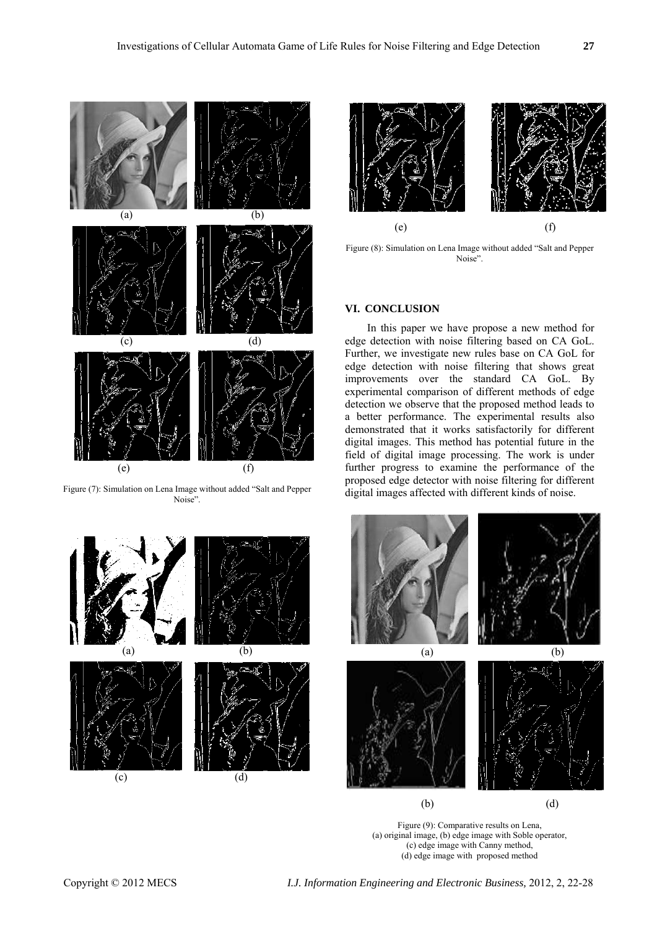![](_page_5_Figure_2.jpeg)

Figure (7): Simulation on Lena Image without added "Salt and Pepper Noise".

![](_page_5_Figure_4.jpeg)

![](_page_5_Figure_5.jpeg)

Figure (8): Simulation on Lena Image without added "Salt and Pepper Noise".

## **VI. CONCLUSION**

In this paper we have propose a new method for edge detection with noise filtering based on CA GoL. Further, we investigate new rules base on CA GoL for edge detection with noise filtering that shows great improvements over the standard CA GoL. By experimental comparison of different methods of edge detection we observe that the proposed method leads to a better performance. The experimental results also demonstrated that it works satisfactorily for different digital images. This method has potential future in the field of digital image processing. The work is under further progress to examine the performance of the proposed edge detector with noise filtering for different digital images affected with different kinds of noise.

![](_page_5_Figure_9.jpeg)

Figure (9): Comparative results on Lena, (a) original image, (b) edge image with Soble operator, (c) edge image with Canny method, (d) edge image with proposed method